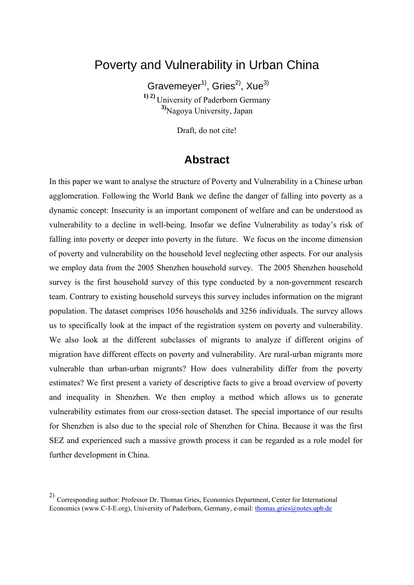# Poverty and Vulnerability in Urban China

Gravemeyer<sup>1)</sup>, Gries<sup>2)</sup>, Xue<sup>3)</sup> **1) 2)** University of Paderborn Germany **3)**Nagoya University, Japan

Draft, do not cite!

### **Abstract**

In this paper we want to analyse the structure of Poverty and Vulnerability in a Chinese urban agglomeration. Following the World Bank we define the danger of falling into poverty as a dynamic concept: Insecurity is an important component of welfare and can be understood as vulnerability to a decline in well-being. Insofar we define Vulnerability as today's risk of falling into poverty or deeper into poverty in the future. We focus on the income dimension of poverty and vulnerability on the household level neglecting other aspects. For our analysis we employ data from the 2005 Shenzhen household survey. The 2005 Shenzhen household survey is the first household survey of this type conducted by a non-government research team. Contrary to existing household surveys this survey includes information on the migrant population. The dataset comprises 1056 households and 3256 individuals. The survey allows us to specifically look at the impact of the registration system on poverty and vulnerability. We also look at the different subclasses of migrants to analyze if different origins of migration have different effects on poverty and vulnerability. Are rural-urban migrants more vulnerable than urban-urban migrants? How does vulnerability differ from the poverty estimates? We first present a variety of descriptive facts to give a broad overview of poverty and inequality in Shenzhen. We then employ a method which allows us to generate vulnerability estimates from our cross-section dataset. The special importance of our results for Shenzhen is also due to the special role of Shenzhen for China. Because it was the first SEZ and experienced such a massive growth process it can be regarded as a role model for further development in China.

<sup>2)</sup> Corresponding author: Professor Dr. Thomas Gries, Economics Department, Center for International Economics (www.C-I-E.org), University of Paderborn, Germany, e-mail: thomas.gries@notes.upb.de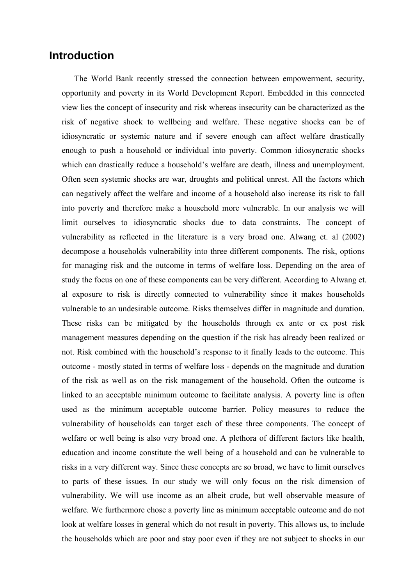#### **Introduction**

The World Bank recently stressed the connection between empowerment, security, opportunity and poverty in its World Development Report. Embedded in this connected view lies the concept of insecurity and risk whereas insecurity can be characterized as the risk of negative shock to wellbeing and welfare. These negative shocks can be of idiosyncratic or systemic nature and if severe enough can affect welfare drastically enough to push a household or individual into poverty. Common idiosyncratic shocks which can drastically reduce a household's welfare are death, illness and unemployment. Often seen systemic shocks are war, droughts and political unrest. All the factors which can negatively affect the welfare and income of a household also increase its risk to fall into poverty and therefore make a household more vulnerable. In our analysis we will limit ourselves to idiosyncratic shocks due to data constraints. The concept of vulnerability as reflected in the literature is a very broad one. Alwang et. al (2002) decompose a households vulnerability into three different components. The risk, options for managing risk and the outcome in terms of welfare loss. Depending on the area of study the focus on one of these components can be very different. According to Alwang et. al exposure to risk is directly connected to vulnerability since it makes households vulnerable to an undesirable outcome. Risks themselves differ in magnitude and duration. These risks can be mitigated by the households through ex ante or ex post risk management measures depending on the question if the risk has already been realized or not. Risk combined with the household's response to it finally leads to the outcome. This outcome - mostly stated in terms of welfare loss - depends on the magnitude and duration of the risk as well as on the risk management of the household. Often the outcome is linked to an acceptable minimum outcome to facilitate analysis. A poverty line is often used as the minimum acceptable outcome barrier. Policy measures to reduce the vulnerability of households can target each of these three components. The concept of welfare or well being is also very broad one. A plethora of different factors like health, education and income constitute the well being of a household and can be vulnerable to risks in a very different way. Since these concepts are so broad, we have to limit ourselves to parts of these issues. In our study we will only focus on the risk dimension of vulnerability. We will use income as an albeit crude, but well observable measure of welfare. We furthermore chose a poverty line as minimum acceptable outcome and do not look at welfare losses in general which do not result in poverty. This allows us, to include the households which are poor and stay poor even if they are not subject to shocks in our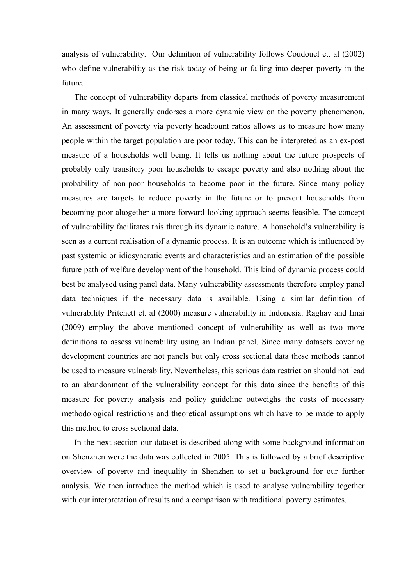analysis of vulnerability. Our definition of vulnerability follows Coudouel et. al (2002) who define vulnerability as the risk today of being or falling into deeper poverty in the future.

The concept of vulnerability departs from classical methods of poverty measurement in many ways. It generally endorses a more dynamic view on the poverty phenomenon. An assessment of poverty via poverty headcount ratios allows us to measure how many people within the target population are poor today. This can be interpreted as an ex-post measure of a households well being. It tells us nothing about the future prospects of probably only transitory poor households to escape poverty and also nothing about the probability of non-poor households to become poor in the future. Since many policy measures are targets to reduce poverty in the future or to prevent households from becoming poor altogether a more forward looking approach seems feasible. The concept of vulnerability facilitates this through its dynamic nature. A household's vulnerability is seen as a current realisation of a dynamic process. It is an outcome which is influenced by past systemic or idiosyncratic events and characteristics and an estimation of the possible future path of welfare development of the household. This kind of dynamic process could best be analysed using panel data. Many vulnerability assessments therefore employ panel data techniques if the necessary data is available. Using a similar definition of vulnerability Pritchett et. al (2000) measure vulnerability in Indonesia. Raghav and Imai (2009) employ the above mentioned concept of vulnerability as well as two more definitions to assess vulnerability using an Indian panel. Since many datasets covering development countries are not panels but only cross sectional data these methods cannot be used to measure vulnerability. Nevertheless, this serious data restriction should not lead to an abandonment of the vulnerability concept for this data since the benefits of this measure for poverty analysis and policy guideline outweighs the costs of necessary methodological restrictions and theoretical assumptions which have to be made to apply this method to cross sectional data.

In the next section our dataset is described along with some background information on Shenzhen were the data was collected in 2005. This is followed by a brief descriptive overview of poverty and inequality in Shenzhen to set a background for our further analysis. We then introduce the method which is used to analyse vulnerability together with our interpretation of results and a comparison with traditional poverty estimates.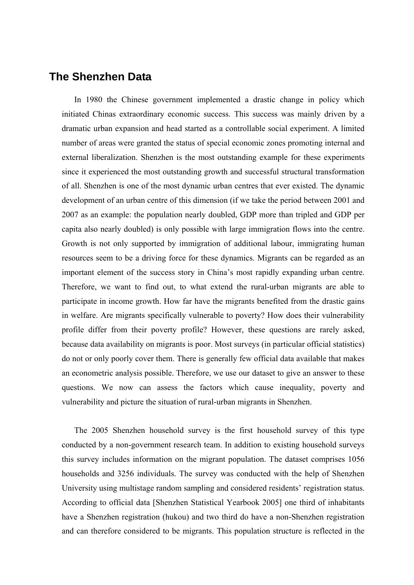#### **The Shenzhen Data**

In 1980 the Chinese government implemented a drastic change in policy which initiated Chinas extraordinary economic success. This success was mainly driven by a dramatic urban expansion and head started as a controllable social experiment. A limited number of areas were granted the status of special economic zones promoting internal and external liberalization. Shenzhen is the most outstanding example for these experiments since it experienced the most outstanding growth and successful structural transformation of all. Shenzhen is one of the most dynamic urban centres that ever existed. The dynamic development of an urban centre of this dimension (if we take the period between 2001 and 2007 as an example: the population nearly doubled, GDP more than tripled and GDP per capita also nearly doubled) is only possible with large immigration flows into the centre. Growth is not only supported by immigration of additional labour, immigrating human resources seem to be a driving force for these dynamics. Migrants can be regarded as an important element of the success story in China's most rapidly expanding urban centre. Therefore, we want to find out, to what extend the rural-urban migrants are able to participate in income growth. How far have the migrants benefited from the drastic gains in welfare. Are migrants specifically vulnerable to poverty? How does their vulnerability profile differ from their poverty profile? However, these questions are rarely asked, because data availability on migrants is poor. Most surveys (in particular official statistics) do not or only poorly cover them. There is generally few official data available that makes an econometric analysis possible. Therefore, we use our dataset to give an answer to these questions. We now can assess the factors which cause inequality, poverty and vulnerability and picture the situation of rural-urban migrants in Shenzhen.

The 2005 Shenzhen household survey is the first household survey of this type conducted by a non-government research team. In addition to existing household surveys this survey includes information on the migrant population. The dataset comprises 1056 households and 3256 individuals. The survey was conducted with the help of Shenzhen University using multistage random sampling and considered residents' registration status. According to official data [Shenzhen Statistical Yearbook 2005] one third of inhabitants have a Shenzhen registration (hukou) and two third do have a non-Shenzhen registration and can therefore considered to be migrants. This population structure is reflected in the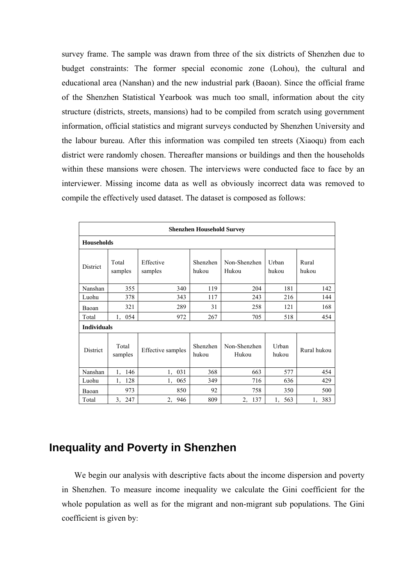survey frame. The sample was drawn from three of the six districts of Shenzhen due to budget constraints: The former special economic zone (Lohou), the cultural and educational area (Nanshan) and the new industrial park (Baoan). Since the official frame of the Shenzhen Statistical Yearbook was much too small, information about the city structure (districts, streets, mansions) had to be compiled from scratch using government information, official statistics and migrant surveys conducted by Shenzhen University and the labour bureau. After this information was compiled ten streets (Xiaoqu) from each district were randomly chosen. Thereafter mansions or buildings and then the households within these mansions were chosen. The interviews were conducted face to face by an interviewer. Missing income data as well as obviously incorrect data was removed to compile the effectively used dataset. The dataset is composed as follows:

| <b>Shenzhen Household Survey</b> |                  |                      |                   |                       |                |                |  |
|----------------------------------|------------------|----------------------|-------------------|-----------------------|----------------|----------------|--|
| <b>Households</b>                |                  |                      |                   |                       |                |                |  |
| District                         | Total<br>samples | Effective<br>samples | Shenzhen<br>hukou | Non-Shenzhen<br>Hukou | Urban<br>hukou | Rural<br>hukou |  |
| Nanshan                          | 355              | 340                  | 119               | 204                   | 181            | 142            |  |
| Luohu                            | 378              | 343                  | 117               | 243                   | 216            | 144            |  |
| Baoan                            | 321              | 289                  | 31                | 258                   | 121            | 168            |  |
| Total                            | 054<br>1,        | 972                  | 267               | 705                   | 518            | 454            |  |
| <b>Individuals</b>               |                  |                      |                   |                       |                |                |  |
| District                         | Total<br>samples | Effective samples    | Shenzhen<br>hukou | Non-Shenzhen<br>Hukou | Urban<br>hukou | Rural hukou    |  |
| Nanshan                          | 146<br>1,        | 031<br>1,            | 368               | 663                   | 577            | 454            |  |
| Luohu                            | 128<br>1,        | 065<br>1,            | 349               | 716                   | 636            | 429            |  |
| Baoan                            | 973              | 850                  | 92                | 758                   | 350            | 500            |  |
| Total                            | 3,<br>247        | 2,<br>946            | 809               | 137<br>2,             | 563<br>1,      | 383<br>1,      |  |

## **Inequality and Poverty in Shenzhen**

We begin our analysis with descriptive facts about the income dispersion and poverty in Shenzhen. To measure income inequality we calculate the Gini coefficient for the whole population as well as for the migrant and non-migrant sub populations. The Gini coefficient is given by: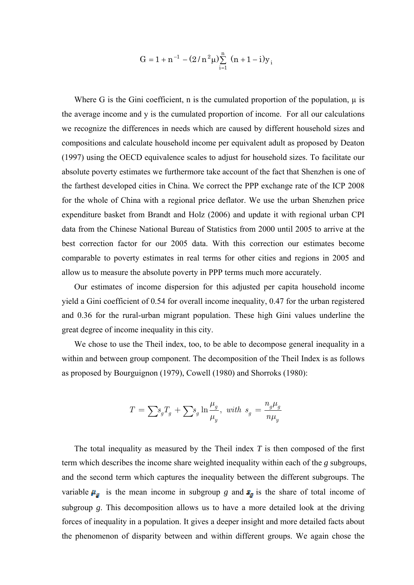$$
G = 1 + n^{-1} - (2/n^2 \mu) \sum_{i=1}^{n} (n + 1 - i) y_i
$$

Where G is the Gini coefficient, n is the cumulated proportion of the population,  $\mu$  is the average income and y is the cumulated proportion of income. For all our calculations we recognize the differences in needs which are caused by different household sizes and compositions and calculate household income per equivalent adult as proposed by Deaton (1997) using the OECD equivalence scales to adjust for household sizes. To facilitate our absolute poverty estimates we furthermore take account of the fact that Shenzhen is one of the farthest developed cities in China. We correct the PPP exchange rate of the ICP 2008 for the whole of China with a regional price deflator. We use the urban Shenzhen price expenditure basket from Brandt and Holz (2006) and update it with regional urban CPI data from the Chinese National Bureau of Statistics from 2000 until 2005 to arrive at the best correction factor for our 2005 data. With this correction our estimates become comparable to poverty estimates in real terms for other cities and regions in 2005 and allow us to measure the absolute poverty in PPP terms much more accurately.

Our estimates of income dispersion for this adjusted per capita household income yield a Gini coefficient of 0.54 for overall income inequality, 0.47 for the urban registered and 0.36 for the rural-urban migrant population. These high Gini values underline the great degree of income inequality in this city.

We chose to use the Theil index, too, to be able to decompose general inequality in a within and between group component. The decomposition of the Theil Index is as follows as proposed by Bourguignon (1979), Cowell (1980) and Shorroks (1980):

$$
T = \sum s_g T_g + \sum s_g \ln \frac{\mu_g}{\mu_y}, \text{ with } s_g = \frac{n_g \mu_g}{n \mu_y}
$$

The total inequality as measured by the Theil index *T* is then composed of the first term which describes the income share weighted inequality within each of the *g* subgroups, and the second term which captures the inequality between the different subgroups. The variable  $\mu_g$  is the mean income in subgroup *g* and  $s_g$  is the share of total income of subgroup *g*. This decomposition allows us to have a more detailed look at the driving forces of inequality in a population. It gives a deeper insight and more detailed facts about the phenomenon of disparity between and within different groups. We again chose the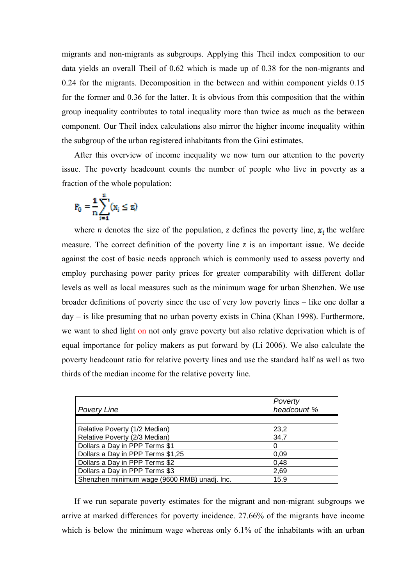migrants and non-migrants as subgroups. Applying this Theil index composition to our data yields an overall Theil of 0.62 which is made up of 0.38 for the non-migrants and 0.24 for the migrants. Decomposition in the between and within component yields 0.15 for the former and 0.36 for the latter. It is obvious from this composition that the within group inequality contributes to total inequality more than twice as much as the between component. Our Theil index calculations also mirror the higher income inequality within the subgroup of the urban registered inhabitants from the Gini estimates.

After this overview of income inequality we now turn our attention to the poverty issue. The poverty headcount counts the number of people who live in poverty as a fraction of the whole population:

$$
P_0 = \frac{1}{n} \sum_{i=1}^n (x_i \leq z)
$$

where *n* denotes the size of the population, *z* defines the poverty line,  $x_i$  the welfare measure. The correct definition of the poverty line  $z$  is an important issue. We decide against the cost of basic needs approach which is commonly used to assess poverty and employ purchasing power parity prices for greater comparability with different dollar levels as well as local measures such as the minimum wage for urban Shenzhen. We use broader definitions of poverty since the use of very low poverty lines – like one dollar a day – is like presuming that no urban poverty exists in China (Khan 1998). Furthermore, we want to shed light on not only grave poverty but also relative deprivation which is of equal importance for policy makers as put forward by (Li 2006). We also calculate the poverty headcount ratio for relative poverty lines and use the standard half as well as two thirds of the median income for the relative poverty line.

| <b>Povery Line</b>                           | Poverty<br>headcount % |
|----------------------------------------------|------------------------|
|                                              |                        |
| Relative Poverty (1/2 Median)                | 23,2                   |
| Relative Poverty (2/3 Median)                | 34,7                   |
| Dollars a Day in PPP Terms \$1               | 0                      |
| Dollars a Day in PPP Terms \$1,25            | 0.09                   |
| Dollars a Day in PPP Terms \$2               | 0,48                   |
| Dollars a Day in PPP Terms \$3               | 2,69                   |
| Shenzhen minimum wage (9600 RMB) unadj. Inc. | 15.9                   |

If we run separate poverty estimates for the migrant and non-migrant subgroups we arrive at marked differences for poverty incidence. 27.66% of the migrants have income which is below the minimum wage whereas only 6.1% of the inhabitants with an urban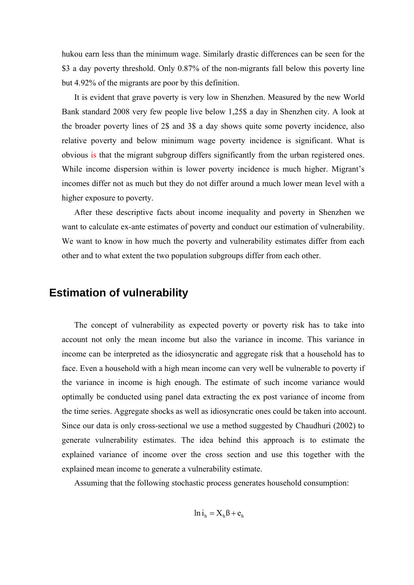hukou earn less than the minimum wage. Similarly drastic differences can be seen for the \$3 a day poverty threshold. Only 0.87% of the non-migrants fall below this poverty line but 4.92% of the migrants are poor by this definition.

It is evident that grave poverty is very low in Shenzhen. Measured by the new World Bank standard 2008 very few people live below 1,25\$ a day in Shenzhen city. A look at the broader poverty lines of 2\$ and 3\$ a day shows quite some poverty incidence, also relative poverty and below minimum wage poverty incidence is significant. What is obvious is that the migrant subgroup differs significantly from the urban registered ones. While income dispersion within is lower poverty incidence is much higher. Migrant's incomes differ not as much but they do not differ around a much lower mean level with a higher exposure to poverty.

After these descriptive facts about income inequality and poverty in Shenzhen we want to calculate ex-ante estimates of poverty and conduct our estimation of vulnerability. We want to know in how much the poverty and vulnerability estimates differ from each other and to what extent the two population subgroups differ from each other.

#### **Estimation of vulnerability**

The concept of vulnerability as expected poverty or poverty risk has to take into account not only the mean income but also the variance in income. This variance in income can be interpreted as the idiosyncratic and aggregate risk that a household has to face. Even a household with a high mean income can very well be vulnerable to poverty if the variance in income is high enough. The estimate of such income variance would optimally be conducted using panel data extracting the ex post variance of income from the time series. Aggregate shocks as well as idiosyncratic ones could be taken into account. Since our data is only cross-sectional we use a method suggested by Chaudhuri (2002) to generate vulnerability estimates. The idea behind this approach is to estimate the explained variance of income over the cross section and use this together with the explained mean income to generate a vulnerability estimate.

Assuming that the following stochastic process generates household consumption:

$$
\ln i_h = X_h B + e_h
$$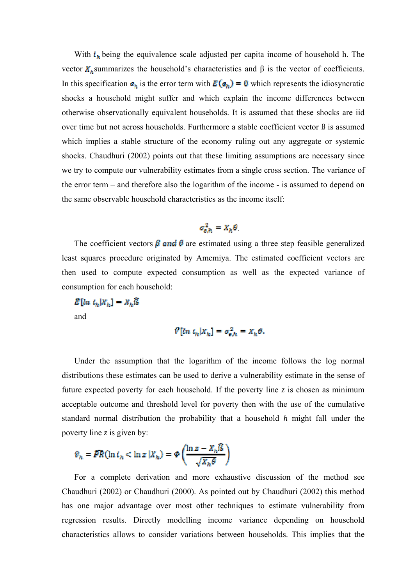With  $i<sub>h</sub>$  being the equivalence scale adjusted per capita income of household h. The vector  $X_k$ summarizes the household's characteristics and β is the vector of coefficients. In this specification  $\mathbf{e}_n$  is the error term with  $\mathbf{E}(\mathbf{e}_n) = \mathbf{0}$  which represents the idiosyncratic shocks a household might suffer and which explain the income differences between otherwise observationally equivalent households. It is assumed that these shocks are iid over time but not across households. Furthermore a stable coefficient vector  $\beta$  is assumed which implies a stable structure of the economy ruling out any aggregate or systemic shocks. Chaudhuri (2002) points out that these limiting assumptions are necessary since we try to compute our vulnerability estimates from a single cross section. The variance of the error term – and therefore also the logarithm of the income - is assumed to depend on the same observable household characteristics as the income itself:

$$
\sigma_{e,h}^2 = X_h \theta
$$

The coefficient vectors  $\beta$  and  $\theta$  are estimated using a three step feasible generalized least squares procedure originated by Amemiya. The estimated coefficient vectors are then used to compute expected consumption as well as the expected variance of consumption for each household:

 $\hat{E}[\ln t_h|X_h] = X_h\hat{B}$ and

$$
\mathcal{V}[ln t_h | X_h] = \sigma_{e,h}^2 = X_h \theta.
$$

Under the assumption that the logarithm of the income follows the log normal distributions these estimates can be used to derive a vulnerability estimate in the sense of future expected poverty for each household. If the poverty line  $z$  is chosen as minimum acceptable outcome and threshold level for poverty then with the use of the cumulative standard normal distribution the probability that a household *h* might fall under the poverty line *z* is given by:

$$
\vartheta_h = PR(\ln t_h < \ln z \, | X_h) = \varphi\left(\frac{\ln z - X_h \mathbb{S}}{\sqrt{X_h \theta}}\right)
$$

For a complete derivation and more exhaustive discussion of the method see Chaudhuri (2002) or Chaudhuri (2000). As pointed out by Chaudhuri (2002) this method has one major advantage over most other techniques to estimate vulnerability from regression results. Directly modelling income variance depending on household characteristics allows to consider variations between households. This implies that the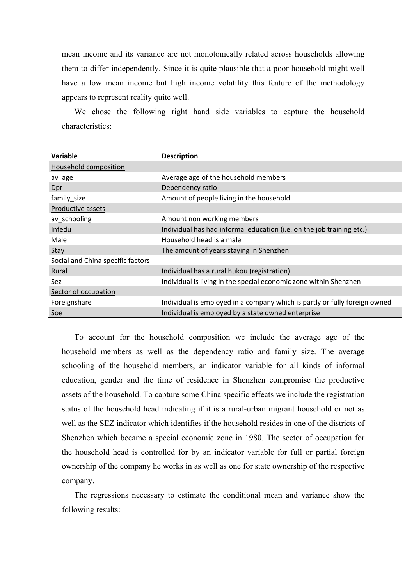mean income and its variance are not monotonically related across households allowing them to differ independently. Since it is quite plausible that a poor household might well have a low mean income but high income volatility this feature of the methodology appears to represent reality quite well.

We chose the following right hand side variables to capture the household characteristics:

| Variable                          | <b>Description</b>                                                         |
|-----------------------------------|----------------------------------------------------------------------------|
| Household composition             |                                                                            |
| av_age                            | Average age of the household members                                       |
| Dpr                               | Dependency ratio                                                           |
| family_size                       | Amount of people living in the household                                   |
| Productive assets                 |                                                                            |
| av_schooling                      | Amount non working members                                                 |
| Infedu                            | Individual has had informal education (i.e. on the job training etc.)      |
| Male                              | Household head is a male                                                   |
| Stay                              | The amount of years staying in Shenzhen                                    |
| Social and China specific factors |                                                                            |
| Rural                             | Individual has a rural hukou (registration)                                |
| Sez                               | Individual is living in the special economic zone within Shenzhen          |
| Sector of occupation              |                                                                            |
| Foreignshare                      | Individual is employed in a company which is partly or fully foreign owned |
| Soe                               | Individual is employed by a state owned enterprise                         |

To account for the household composition we include the average age of the household members as well as the dependency ratio and family size. The average schooling of the household members, an indicator variable for all kinds of informal education, gender and the time of residence in Shenzhen compromise the productive assets of the household. To capture some China specific effects we include the registration status of the household head indicating if it is a rural-urban migrant household or not as well as the SEZ indicator which identifies if the household resides in one of the districts of Shenzhen which became a special economic zone in 1980. The sector of occupation for the household head is controlled for by an indicator variable for full or partial foreign ownership of the company he works in as well as one for state ownership of the respective company.

The regressions necessary to estimate the conditional mean and variance show the following results: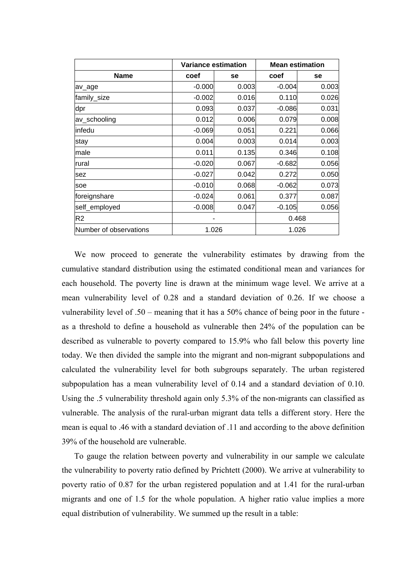|                        | <b>Variance estimation</b> |       | <b>Mean estimation</b> |       |
|------------------------|----------------------------|-------|------------------------|-------|
| <b>Name</b>            | coef                       | se    | coef                   | se    |
| av_age                 | $-0.000$                   | 0.003 | $-0.004$               | 0.003 |
| family_size            | $-0.002$                   | 0.016 | 0.110                  | 0.026 |
| dpr                    | 0.093                      | 0.037 | $-0.086$               | 0.031 |
| av_schooling           | 0.012                      | 0.006 | 0.079                  | 0.008 |
| linfedu                | $-0.069$                   | 0.051 | 0.221                  | 0.066 |
| stay                   | 0.004                      | 0.003 | 0.014                  | 0.003 |
| male                   | 0.011                      | 0.135 | 0.346                  | 0.108 |
| rural                  | $-0.020$                   | 0.067 | $-0.682$               | 0.056 |
| sez                    | $-0.027$                   | 0.042 | 0.272                  | 0.050 |
| soe                    | $-0.010$                   | 0.068 | $-0.062$               | 0.073 |
| foreignshare           | $-0.024$                   | 0.061 | 0.377                  | 0.087 |
| self_employed          | $-0.008$                   | 0.047 | $-0.105$               | 0.056 |
| R <sub>2</sub>         |                            |       | 0.468                  |       |
| Number of observations | 1.026                      |       | 1.026                  |       |

We now proceed to generate the vulnerability estimates by drawing from the cumulative standard distribution using the estimated conditional mean and variances for each household. The poverty line is drawn at the minimum wage level. We arrive at a mean vulnerability level of 0.28 and a standard deviation of 0.26. If we choose a vulnerability level of .50 – meaning that it has a 50% chance of being poor in the future as a threshold to define a household as vulnerable then 24% of the population can be described as vulnerable to poverty compared to 15.9% who fall below this poverty line today. We then divided the sample into the migrant and non-migrant subpopulations and calculated the vulnerability level for both subgroups separately. The urban registered subpopulation has a mean vulnerability level of 0.14 and a standard deviation of 0.10. Using the .5 vulnerability threshold again only 5.3% of the non-migrants can classified as vulnerable. The analysis of the rural-urban migrant data tells a different story. Here the mean is equal to .46 with a standard deviation of .11 and according to the above definition 39% of the household are vulnerable.

To gauge the relation between poverty and vulnerability in our sample we calculate the vulnerability to poverty ratio defined by Prichtett (2000). We arrive at vulnerability to poverty ratio of 0.87 for the urban registered population and at 1.41 for the rural-urban migrants and one of 1.5 for the whole population. A higher ratio value implies a more equal distribution of vulnerability. We summed up the result in a table: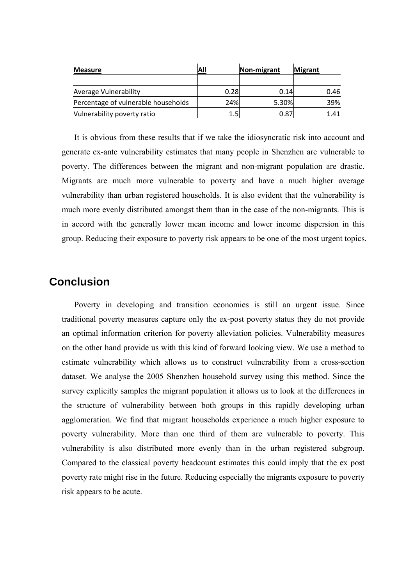| <b>Measure</b>                      | All  | Non-migrant | <b>Migrant</b> |
|-------------------------------------|------|-------------|----------------|
|                                     |      |             |                |
| <b>Average Vulnerability</b>        | 0.28 | 0.14        | 0.46           |
| Percentage of vulnerable households | 24%  | 5.30%       | 39%            |
| Vulnerability poverty ratio         | 1.5  | 0.87        | 1.41           |

It is obvious from these results that if we take the idiosyncratic risk into account and generate ex-ante vulnerability estimates that many people in Shenzhen are vulnerable to poverty. The differences between the migrant and non-migrant population are drastic. Migrants are much more vulnerable to poverty and have a much higher average vulnerability than urban registered households. It is also evident that the vulnerability is much more evenly distributed amongst them than in the case of the non-migrants. This is in accord with the generally lower mean income and lower income dispersion in this group. Reducing their exposure to poverty risk appears to be one of the most urgent topics.

### **Conclusion**

Poverty in developing and transition economies is still an urgent issue. Since traditional poverty measures capture only the ex-post poverty status they do not provide an optimal information criterion for poverty alleviation policies. Vulnerability measures on the other hand provide us with this kind of forward looking view. We use a method to estimate vulnerability which allows us to construct vulnerability from a cross-section dataset. We analyse the 2005 Shenzhen household survey using this method. Since the survey explicitly samples the migrant population it allows us to look at the differences in the structure of vulnerability between both groups in this rapidly developing urban agglomeration. We find that migrant households experience a much higher exposure to poverty vulnerability. More than one third of them are vulnerable to poverty. This vulnerability is also distributed more evenly than in the urban registered subgroup. Compared to the classical poverty headcount estimates this could imply that the ex post poverty rate might rise in the future. Reducing especially the migrants exposure to poverty risk appears to be acute.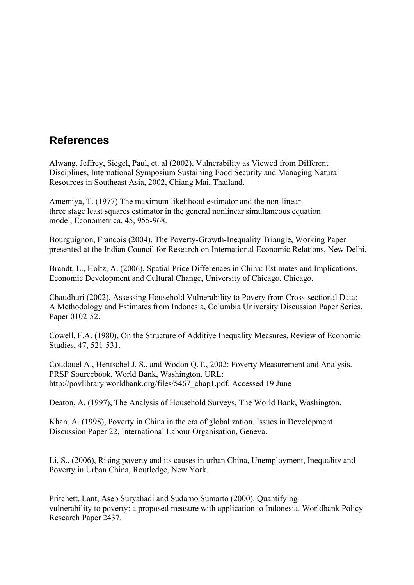## **References**

Alwang, Jeffrey, Siegel, Paul, et. al (2002), Vulnerability as Viewed from Different Disciplines, International Symposium Sustaining Food Security and Managing Natural Resources in Southeast Asia, 2002, Chiang Mai, Thailand.

Amemiya, T. (1977) The maximum likelihood estimator and the non-linear three stage least squares estimator in the general nonlinear simultaneous equation model, Econometrica, 45, 955-968.

Bourguignon, Francois (2004), The Poverty-Growth-Inequality Triangle, Working Paper presented at the Indian Council for Research on International Economic Relations, New Delhi.

Brandt, L., Holtz, A. (2006), Spatial Price Differences in China: Estimates and Implications, Economic Development and Cultural Change, University of Chicago, Chicago.

Chaudhuri (2002), Assessing Household Vulnerability to Povery from Cross-sectional Data: A Methodology and Estimates from Indonesia, Columbia University Discussion Paper Series, Paper 0102-52.

Cowell, F.A. (1980), On the Structure of Additive Inequality Measures, Review of Economic Studies, 47, 521-531.

Coudouel A., Hentschel J. S., and Wodon Q.T., 2002: Poverty Measurement and Analysis. PRSP Sourcebook, World Bank, Washington. URL: http://povlibrary.worldbank.org/files/5467\_chap1.pdf. Accessed 19 June

Deaton, A. (1997), The Analysis of Household Surveys, The World Bank, Washington.

Khan, A. (1998), Poverty in China in the era of globalization, Issues in Development Discussion Paper 22, International Labour Organisation, Geneva.

Li, S., (2006), Rising poverty and its causes in urban China, Unemployment, Inequality and Poverty in Urban China, Routledge, New York.

Pritchett, Lant, Asep Suryahadi and Sudarno Sumarto (2000). Quantifying vulnerability to poverty: a proposed measure with application to Indonesia, Worldbank Policy Research Paper 2437.